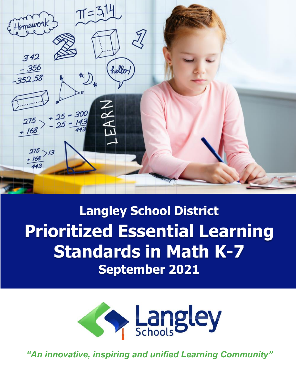

**Langley School District Prioritized Essential Learning Standards in Math K-7 September 2021**



*"An innovative, inspiring and unified Learning Community"*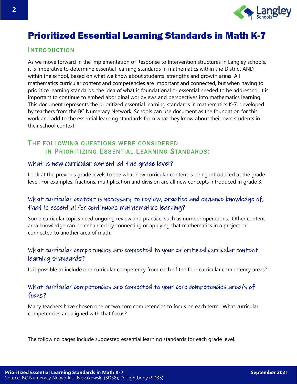

# Prioritized Essential Learning Standards in Math K-7

#### **INTRODUCTION**

As we move forward in the implementation of Response to Intervention structures in Langley schools, it is imperative to determine essential learning standards in mathematics within the District AND within the school, based on what we know about students' strengths and growth areas. All mathematics curricular content and competencies are important and connected, but when having to prioritize learning standards, the idea of what is foundational or essential needed to be addressed. It is important to continue to embed aboriginal worldviews and perspectives into mathematics learning. This document represents the prioritized essential learning standards in mathematics K-7, developed by teachers from the BC Numeracy Network. Schools can use document as the foundation for this work and add to the essential learning standards from what they know about their own students in their school context.

# THE FOLLOWING QUESTIONS WERE CONSIDERED IN PRIORITIZING ESSENTIAL LEARNING STANDARDS:

#### What is new curricular content at the grade level?

Look at the previous grade levels to see what new curricular content is being introduced at the grade level. For examples, fractions, multiplication and division are all new concepts introduced in grade 3.

# What curricular content is necessary to review, practice and enhance knowledge of, that is essential for continuous mathematics learning?

Some curricular topics need ongoing review and practice, such as number operations. Other content area knowledge can be enhanced by connecting or applying that mathematics in a project or connected to another area of math.

## What curricular competencies are connected to your prioritized curricular content learning standards?

Is it possible to include one curricular competency from each of the four curricular competency areas?

# What curricular competencies are connected to your core competencies area/s of focus?

Many teachers have chosen one or two core competencies to focus on each term. What curricular competencies are aligned with that focus?

The following pages include suggested essential learning standards for each grade level.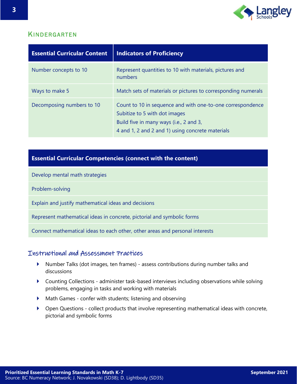

#### **KINDERGARTEN**

| <b>Essential Curricular Content</b> | <b>Indicators of Proficiency</b>                                                                                                                                                           |
|-------------------------------------|--------------------------------------------------------------------------------------------------------------------------------------------------------------------------------------------|
| Number concepts to 10               | Represent quantities to 10 with materials, pictures and<br>numbers                                                                                                                         |
| Ways to make 5                      | Match sets of materials or pictures to corresponding numerals                                                                                                                              |
| Decomposing numbers to 10           | Count to 10 in sequence and with one-to-one correspondence<br>Subitize to 5 with dot images<br>Build five in many ways (i.e., 2 and 3,<br>4 and 1, 2 and 2 and 1) using concrete materials |

# **Essential Curricular Competencies (connect with the content)**

Develop mental math strategies

Problem-solving

Explain and justify mathematical ideas and decisions

Represent mathematical ideas in concrete, pictorial and symbolic forms

Connect mathematical ideas to each other, other areas and personal interests

- Number Talks (dot images, ten frames) assess contributions during number talks and discussions
- Counting Collections administer task-based interviews including observations while solving problems, engaging in tasks and working with materials
- Math Games confer with students; listening and observing
- Open Questions collect products that involve representing mathematical ideas with concrete, pictorial and symbolic forms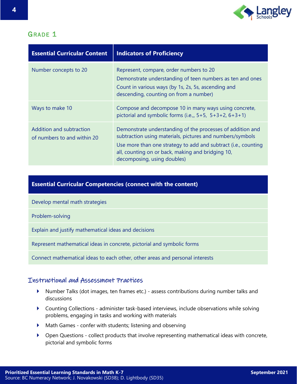

| <b>Essential Curricular Content</b>                     | <b>Indicators of Proficiency</b>                                                                                                                                                                                                                                              |
|---------------------------------------------------------|-------------------------------------------------------------------------------------------------------------------------------------------------------------------------------------------------------------------------------------------------------------------------------|
| Number concepts to 20                                   | Represent, compare, order numbers to 20<br>Demonstrate understanding of teen numbers as ten and ones<br>Count in various ways (by 1s, 2s, 5s, ascending and<br>descending, counting on from a number)                                                                         |
| Ways to make 10                                         | Compose and decompose 10 in many ways using concrete,<br>pictorial and symbolic forms (i.e., $5+5$ , $5+3+2$ , $6+3+1$ )                                                                                                                                                      |
| Addition and subtraction<br>of numbers to and within 20 | Demonstrate understanding of the processes of addition and<br>subtraction using materials, pictures and numbers/symbols<br>Use more than one strategy to add and subtract (i.e., counting<br>all, counting on or back, making and bridging 10,<br>decomposing, using doubles) |

#### **Essential Curricular Competencies (connect with the content)**

Develop mental math strategies

Problem-solving

Explain and justify mathematical ideas and decisions

Represent mathematical ideas in concrete, pictorial and symbolic forms

Connect mathematical ideas to each other, other areas and personal interests

- Number Talks (dot images, ten frames etc.) assess contributions during number talks and discussions
- Counting Collections administer task-based interviews, include observations while solving problems, engaging in tasks and working with materials
- Math Games confer with students; listening and observing
- Open Questions collect products that involve representing mathematical ideas with concrete, pictorial and symbolic forms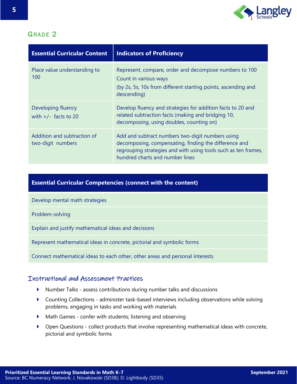

| <b>Essential Curricular Content</b>              | <b>Indicators of Proficiency</b>                                                                                                                                                                               |
|--------------------------------------------------|----------------------------------------------------------------------------------------------------------------------------------------------------------------------------------------------------------------|
| Place value understanding to<br>100              | Represent, compare, order and decompose numbers to 100<br>Count in various ways<br>(by 2s, 5s, 10s from different starting points, ascending and<br>descending)                                                |
| Developing fluency<br>with $+/-$ facts to 20     | Develop fluency and strategies for addition facts to 20 and<br>related subtraction facts (making and bridging 10,<br>decomposing, using doubles, counting on)                                                  |
| Addition and subtraction of<br>two-digit numbers | Add and subtract numbers two-digit numbers using<br>decomposing, compensating, finding the difference and<br>regrouping strategies and with using tools such as ten frames,<br>hundred charts and number lines |

#### **Essential Curricular Competencies (connect with the content)**

Develop mental math strategies

Problem-solving

Explain and justify mathematical ideas and decisions

Represent mathematical ideas in concrete, pictorial and symbolic forms

Connect mathematical ideas to each other, other areas and personal interests

- Number Talks assess contributions during number talks and discussions
- Counting Collections administer task-based interviews including observations while solving problems, engaging in tasks and working with materials
- Math Games confer with students; listening and observing
- Open Questions collect products that involve representing mathematical ideas with concrete, pictorial and symbolic forms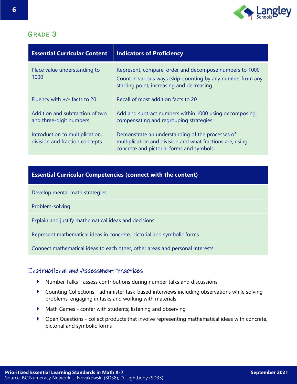

| <b>Essential Curricular Content</b>                               | <b>Indicators of Proficiency</b>                                                                                                                                    |
|-------------------------------------------------------------------|---------------------------------------------------------------------------------------------------------------------------------------------------------------------|
| Place value understanding to<br>1000                              | Represent, compare, order and decompose numbers to 1000<br>Count in various ways (skip-counting by any number from any<br>starting point, increasing and decreasing |
| Fluency with $+/-$ facts to 20                                    | Recall of most addition facts to 20                                                                                                                                 |
| Addition and subtraction of two<br>and three-digit numbers        | Add and subtract numbers within 1000 using decomposing,<br>compensating and regrouping strategies                                                                   |
| Introduction to multiplication,<br>division and fraction concepts | Demonstrate an understanding of the processes of<br>multiplication and division and what fractions are, using<br>concrete and pictorial forms and symbols           |

## **Essential Curricular Competencies (connect with the content)**

Develop mental math strategies

Problem-solving

Explain and justify mathematical ideas and decisions

Represent mathematical ideas in concrete, pictorial and symbolic forms

Connect mathematical ideas to each other, other areas and personal interests

- Number Talks assess contributions during number talks and discussions
- Counting Collections administer task-based interviews including observations while solving problems, engaging in tasks and working with materials
- Math Games confer with students; listening and observing
- Open Questions collect products that involve representing mathematical ideas with concrete, pictorial and symbolic forms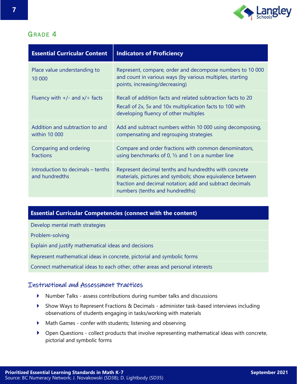

| <b>Essential Curricular Content</b>                 | <b>Indicators of Proficiency</b>                                                                                                                                                                                  |
|-----------------------------------------------------|-------------------------------------------------------------------------------------------------------------------------------------------------------------------------------------------------------------------|
| Place value understanding to<br>10 000              | Represent, compare, order and decompose numbers to 10 000<br>and count in various ways (by various multiples, starting<br>points, increasing/decreasing)                                                          |
| Fluency with $+/-$ and $x/+$ facts                  | Recall of addition facts and related subtraction facts to 20<br>Recall of 2x, 5x and 10x multiplication facts to 100 with<br>developing fluency of other multiples                                                |
| Addition and subtraction to and<br>within 10 000    | Add and subtract numbers within 10 000 using decomposing,<br>compensating and regrouping strategies                                                                                                               |
| Comparing and ordering<br>fractions                 | Compare and order fractions with common denominators,<br>using benchmarks of 0, $\frac{1}{2}$ and 1 on a number line                                                                                              |
| Introduction to decimals - tenths<br>and hundredths | Represent decimal tenths and hundredths with concrete<br>materials, pictures and symbols; show equivalence between<br>fraction and decimal notation; add and subtract decimals<br>numbers (tenths and hundredths) |

#### **Essential Curricular Competencies (connect with the content)**

Develop mental math strategies

Problem-solving

Explain and justify mathematical ideas and decisions

Represent mathematical ideas in concrete, pictorial and symbolic forms

Connect mathematical ideas to each other, other areas and personal interests

- Number Talks assess contributions during number talks and discussions
- Show Ways to Represent Fractions & Decimals administer task-based interviews including observations of students engaging in tasks/working with materials
- Math Games confer with students; listening and observing
- Open Questions collect products that involve representing mathematical ideas with concrete, pictorial and symbolic forms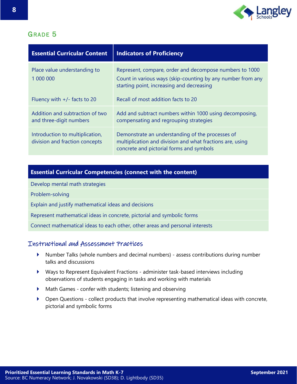

| <b>Essential Curricular Content</b>                               | <b>Indicators of Proficiency</b>                                                                                                                                    |
|-------------------------------------------------------------------|---------------------------------------------------------------------------------------------------------------------------------------------------------------------|
| Place value understanding to<br>1 000 000                         | Represent, compare, order and decompose numbers to 1000<br>Count in various ways (skip-counting by any number from any<br>starting point, increasing and decreasing |
| Fluency with $+/-$ facts to 20                                    | Recall of most addition facts to 20                                                                                                                                 |
| Addition and subtraction of two<br>and three-digit numbers        | Add and subtract numbers within 1000 using decomposing,<br>compensating and regrouping strategies                                                                   |
| Introduction to multiplication,<br>division and fraction concepts | Demonstrate an understanding of the processes of<br>multiplication and division and what fractions are, using<br>concrete and pictorial forms and symbols           |

#### **Essential Curricular Competencies (connect with the content)**

Develop mental math strategies

Problem-solving

Explain and justify mathematical ideas and decisions

Represent mathematical ideas in concrete, pictorial and symbolic forms

Connect mathematical ideas to each other, other areas and personal interests

- Number Talks (whole numbers and decimal numbers) assess contributions during number talks and discussions
- Ways to Represent Equivalent Fractions administer task-based interviews including observations of students engaging in tasks and working with materials
- Math Games confer with students; listening and observing
- Open Questions collect products that involve representing mathematical ideas with concrete, pictorial and symbolic forms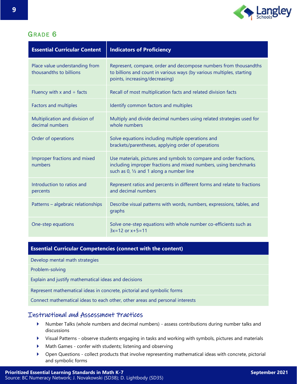

| <b>Essential Curricular Content</b>                       | <b>Indicators of Proficiency</b>                                                                                                                                                                 |
|-----------------------------------------------------------|--------------------------------------------------------------------------------------------------------------------------------------------------------------------------------------------------|
| Place value understanding from<br>thousandths to billions | Represent, compare, order and decompose numbers from thousandths<br>to billions and count in various ways (by various multiples, starting<br>points, increasing/decreasing)                      |
| Fluency with x and $\div$ facts                           | Recall of most multiplication facts and related division facts                                                                                                                                   |
| <b>Factors and multiples</b>                              | Identify common factors and multiples                                                                                                                                                            |
| Multiplication and division of<br>decimal numbers         | Multiply and divide decimal numbers using related strategies used for<br>whole numbers                                                                                                           |
| Order of operations                                       | Solve equations including multiple operations and<br>brackets/parentheses, applying order of operations                                                                                          |
| Improper fractions and mixed<br>numbers                   | Use materials, pictures and symbols to compare and order fractions,<br>including improper fractions and mixed numbers, using benchmarks<br>such as $0$ , $\frac{1}{2}$ and 1 along a number line |
| Introduction to ratios and<br>percents                    | Represent ratios and percents in different forms and relate to fractions<br>and decimal numbers                                                                                                  |
| Patterns - algebraic relationships                        | Describe visual patterns with words, numbers, expressions, tables, and<br>graphs                                                                                                                 |
| One-step equations                                        | Solve one-step equations with whole number co-efficients such as<br>$3x=12$ or $x+5=11$                                                                                                          |

#### **Essential Curricular Competencies (connect with the content)**

Develop mental math strategies

Problem-solving

Explain and justify mathematical ideas and decisions

Represent mathematical ideas in concrete, pictorial and symbolic forms

Connect mathematical ideas to each other, other areas and personal interests

- Number Talks (whole numbers and decimal numbers) assess contributions during number talks and discussions
- Visual Patterns observe students engaging in tasks and working with symbols, pictures and materials
- Math Games confer with students; listening and observing
- Open Questions collect products that involve representing mathematical ideas with concrete, pictorial and symbolic forms